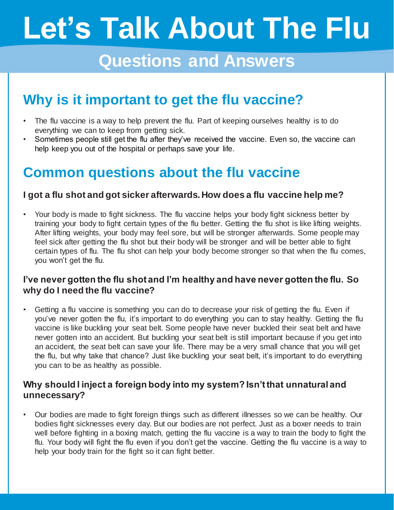# **Let's Talk About The Flu**

## **Questions and Answers**

## **Why is it important to get the flu vaccine?**

- The flu vaccine is a way to help prevent the flu. Part of keeping ourselves healthy is to do everything we can to keep from getting sick.
- Sometimes people still get the flu after they've received the vaccine. Even so, the vaccine can help keep you out of the hospital or perhaps save your life.

### **Common questions about the flu vaccine**

#### **I got a flu shot and got sicker afterwards. How does a flu vaccine help me?**

• Your body is made to fight sickness. The flu vaccine helps your body fight sickness better by training your body to fight certain types of the flu better. Getting the flu shot is like lifting weights. After lifting weights, your body may feel sore, but will be stronger afterwards. Some people may feel sick after getting the flu shot but their body will be stronger and will be better able to fight certain types of flu. The flu shot can help your body become stronger so that when the flu comes, you won't get the flu.

#### **I've never gotten the flu shot and I'm healthy and have never gotten the flu. So why do I need the flu vaccine?**

• Getting a flu vaccine is something you can do to decrease your risk of getting the flu. Even if you've never gotten the flu, it's important to do everything you can to stay healthy. Getting the flu vaccine is like buckling your seat belt. Some people have never buckled their seat belt and have never gotten into an accident. But buckling your seat belt is still important because if you get into an accident, the seat belt can save your life. There may be a very small chance that you will get the flu, but why take that chance? Just like buckling your seat belt, it's important to do everything you can to be as healthy as possible.

#### **Why should I inject a foreign body into my system? Isn't that unnatural and unnecessary?**

• Our bodies are made to fight foreign things such as different illnesses so we can be healthy. Our bodies fight sicknesses every day. But our bodies are not perfect. Just as a boxer needs to train well before fighting in a boxing match, getting the flu vaccine is a way to train the body to fight the flu. Your body will fight the flu even if you don't get the vaccine. Getting the flu vaccine is a way to help your body train for the fight so it can fight better.